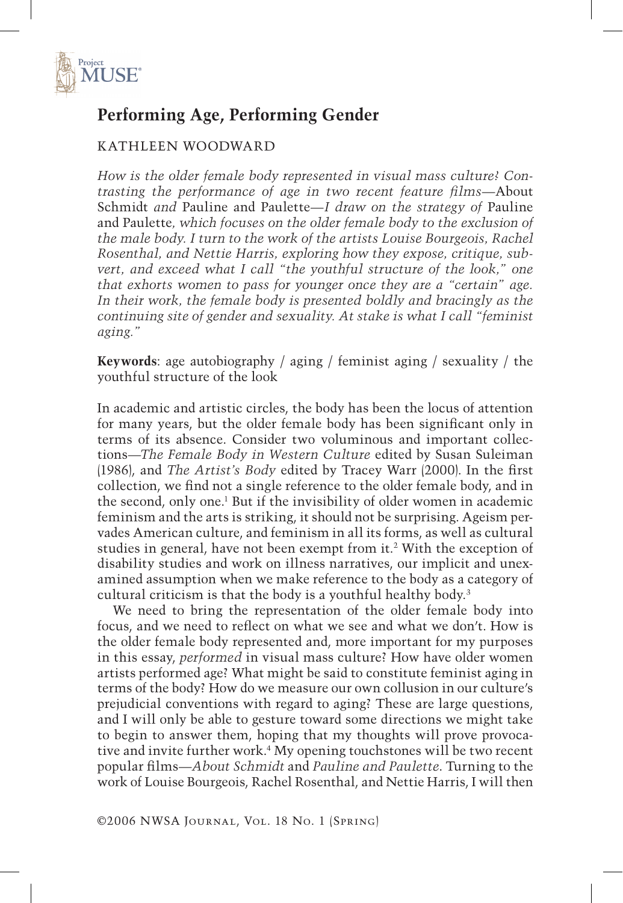

# **Performing Age, Performing Gender**

#### KATHLEEN WOODWARD

*How is the older female body represented in visual mass culture? Contrasting the performance of age in two recent feature films—*About Schmidt *and* Pauline and Paulette*—I draw on the strategy of* Pauline and Paulette*, which focuses on the older female body to the exclusion of the male body. I turn to the work of the artists Louise Bourgeois, Rachel Rosenthal, and Nettie Harris, exploring how they expose, critique, subvert, and exceed what I call "the youthful structure of the look," one that exhorts women to pass for younger once they are a "certain" age.*  In their work, the female body is presented boldly and bracingly as the *continuing site of gender and sexuality. At stake is what I call "feminist aging."*

**Keywords**: age autobiography / aging / feminist aging / sexuality / the youthful structure of the look

In academic and artistic circles, the body has been the locus of attention for many years, but the older female body has been significant only in terms of its absence. Consider two voluminous and important collections—*The Female Body in Western Culture* edited by Susan Suleiman (1986), and *The Artist's Body* edited by Tracey Warr (2000). In the first collection, we find not a single reference to the older female body, and in the second, only one.<sup>1</sup> But if the invisibility of older women in academic feminism and the arts is striking, it should not be surprising. Ageism pervades American culture, and feminism in all its forms, as well as cultural studies in general, have not been exempt from it.2 With the exception of disability studies and work on illness narratives, our implicit and unexamined assumption when we make reference to the body as a category of cultural criticism is that the body is a youthful healthy body.3

We need to bring the representation of the older female body into focus, and we need to reflect on what we see and what we don't. How is the older female body represented and, more important for my purposes in this essay, *performed* in visual mass culture? How have older women artists performed age? What might be said to constitute feminist aging in terms of the body? How do we measure our own collusion in our culture's prejudicial conventions with regard to aging? These are large questions, and I will only be able to gesture toward some directions we might take to begin to answer them, hoping that my thoughts will prove provocative and invite further work.4 My opening touchstones will be two recent popular films—*About Schmidt* and *Pauline and Paulette*. Turning to the work of Louise Bourgeois, Rachel Rosenthal, and Nettie Harris, I will then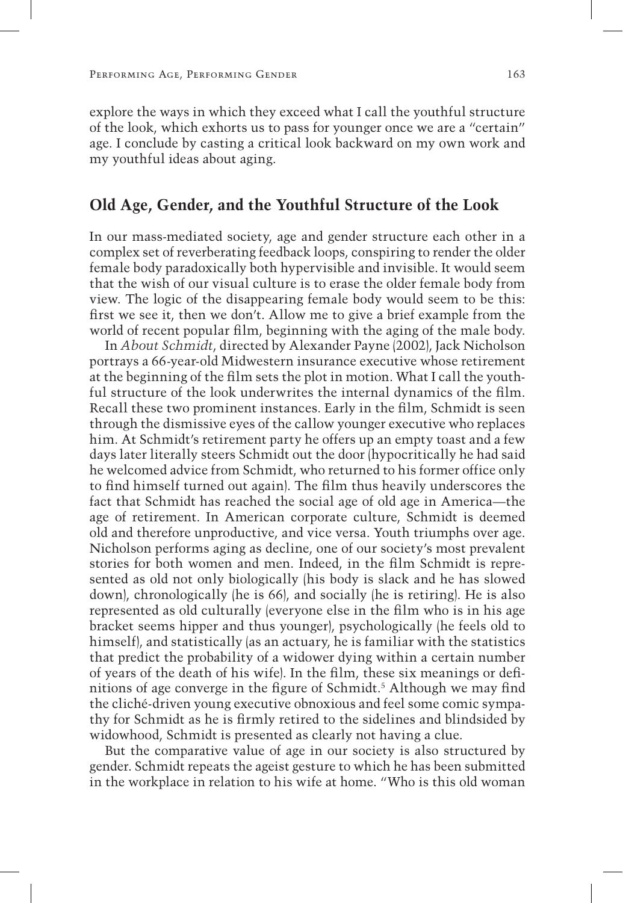explore the ways in which they exceed what I call the youthful structure of the look, which exhorts us to pass for younger once we are a "certain" age. I conclude by casting a critical look backward on my own work and my youthful ideas about aging.

#### **Old Age, Gender, and the Youthful Structure of the Look**

In our mass-mediated society, age and gender structure each other in a complex set of reverberating feedback loops, conspiring to render the older female body paradoxically both hypervisible and invisible. It would seem that the wish of our visual culture is to erase the older female body from view. The logic of the disappearing female body would seem to be this: first we see it, then we don't. Allow me to give a brief example from the world of recent popular film, beginning with the aging of the male body.

In *About Schmidt*, directed by Alexander Payne (2002), Jack Nicholson portrays a 66-year-old Midwestern insurance executive whose retirement at the beginning of the film sets the plot in motion. What I call the youthful structure of the look underwrites the internal dynamics of the film. Recall these two prominent instances. Early in the film, Schmidt is seen through the dismissive eyes of the callow younger executive who replaces him. At Schmidt's retirement party he offers up an empty toast and a few days later literally steers Schmidt out the door (hypocritically he had said he welcomed advice from Schmidt, who returned to his former office only to find himself turned out again). The film thus heavily underscores the fact that Schmidt has reached the social age of old age in America—the age of retirement. In American corporate culture, Schmidt is deemed old and therefore unproductive, and vice versa. Youth triumphs over age. Nicholson performs aging as decline, one of our society's most prevalent stories for both women and men. Indeed, in the film Schmidt is represented as old not only biologically (his body is slack and he has slowed down), chronologically (he is 66), and socially (he is retiring). He is also represented as old culturally (everyone else in the film who is in his age bracket seems hipper and thus younger), psychologically (he feels old to himself), and statistically (as an actuary, he is familiar with the statistics that predict the probability of a widower dying within a certain number of years of the death of his wife). In the film, these six meanings or definitions of age converge in the figure of Schmidt.<sup>5</sup> Although we may find the cliché-driven young executive obnoxious and feel some comic sympathy for Schmidt as he is firmly retired to the sidelines and blindsided by widowhood, Schmidt is presented as clearly not having a clue.

But the comparative value of age in our society is also structured by gender. Schmidt repeats the ageist gesture to which he has been submitted in the workplace in relation to his wife at home. "Who is this old woman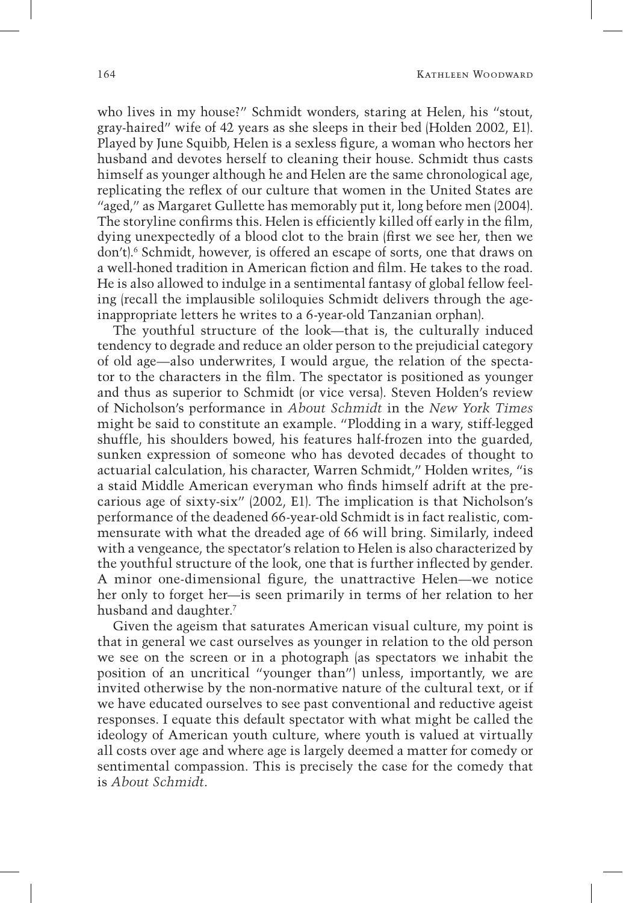who lives in my house?" Schmidt wonders, staring at Helen, his "stout, gray-haired" wife of 42 years as she sleeps in their bed (Holden 2002, E1). Played by June Squibb, Helen is a sexless figure, a woman who hectors her husband and devotes herself to cleaning their house. Schmidt thus casts himself as younger although he and Helen are the same chronological age, replicating the reflex of our culture that women in the United States are "aged," as Margaret Gullette has memorably put it, long before men (2004). The storyline confirms this. Helen is efficiently killed off early in the film, dying unexpectedly of a blood clot to the brain (first we see her, then we don't).6 Schmidt, however, is offered an escape of sorts, one that draws on a well-honed tradition in American fiction and film. He takes to the road. He is also allowed to indulge in a sentimental fantasy of global fellow feeling (recall the implausible soliloquies Schmidt delivers through the ageinappropriate letters he writes to a 6-year-old Tanzanian orphan).

The youthful structure of the look—that is, the culturally induced tendency to degrade and reduce an older person to the prejudicial category of old age—also underwrites, I would argue, the relation of the spectator to the characters in the film. The spectator is positioned as younger and thus as superior to Schmidt (or vice versa). Steven Holden's review of Nicholson's performance in *About Schmidt* in the *New York Times* might be said to constitute an example. "Plodding in a wary, stiff-legged shuffle, his shoulders bowed, his features half-frozen into the guarded, sunken expression of someone who has devoted decades of thought to actuarial calculation, his character, Warren Schmidt," Holden writes, "is a staid Middle American everyman who finds himself adrift at the precarious age of sixty-six" (2002, E1). The implication is that Nicholson's performance of the deadened 66-year-old Schmidt is in fact realistic, commensurate with what the dreaded age of 66 will bring. Similarly, indeed with a vengeance, the spectator's relation to Helen is also characterized by the youthful structure of the look, one that is further inflected by gender. A minor one-dimensional figure, the unattractive Helen—we notice her only to forget her—is seen primarily in terms of her relation to her husband and daughter.<sup>7</sup>

Given the ageism that saturates American visual culture, my point is that in general we cast ourselves as younger in relation to the old person we see on the screen or in a photograph (as spectators we inhabit the position of an uncritical "younger than") unless, importantly, we are invited otherwise by the non-normative nature of the cultural text, or if we have educated ourselves to see past conventional and reductive ageist responses. I equate this default spectator with what might be called the ideology of American youth culture, where youth is valued at virtually all costs over age and where age is largely deemed a matter for comedy or sentimental compassion. This is precisely the case for the comedy that is *About Schmidt*.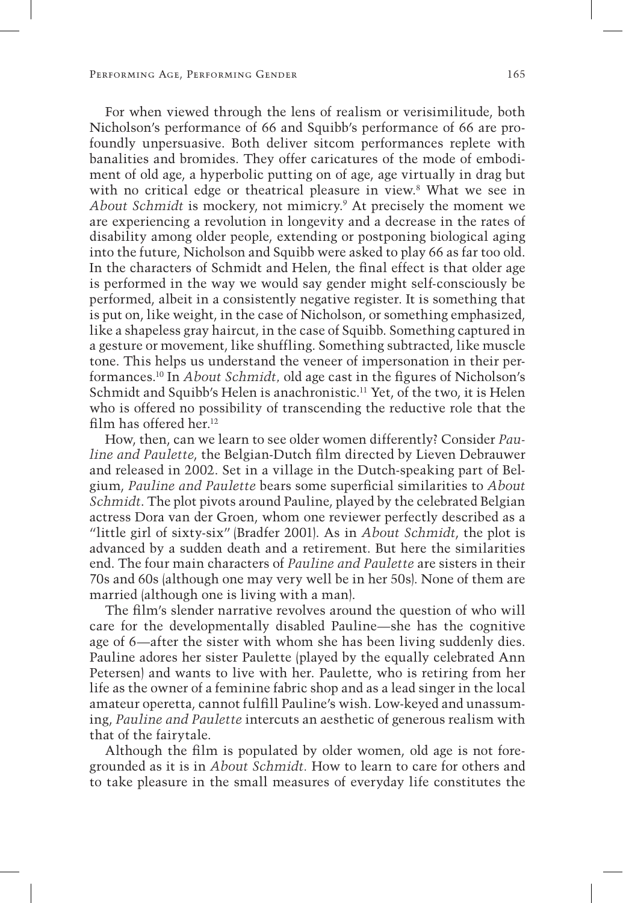For when viewed through the lens of realism or verisimilitude, both Nicholson's performance of 66 and Squibb's performance of 66 are profoundly unpersuasive. Both deliver sitcom performances replete with banalities and bromides. They offer caricatures of the mode of embodiment of old age, a hyperbolic putting on of age, age virtually in drag but with no critical edge or theatrical pleasure in view.<sup>8</sup> What we see in About Schmidt is mockery, not mimicry.<sup>9</sup> At precisely the moment we are experiencing a revolution in longevity and a decrease in the rates of disability among older people, extending or postponing biological aging into the future, Nicholson and Squibb were asked to play 66 as far too old. In the characters of Schmidt and Helen, the final effect is that older age is performed in the way we would say gender might self-consciously be performed, albeit in a consistently negative register. It is something that is put on, like weight, in the case of Nicholson, or something emphasized, like a shapeless gray haircut, in the case of Squibb. Something captured in a gesture or movement, like shuffling. Something subtracted, like muscle tone. This helps us understand the veneer of impersonation in their performances.10 In *About Schmidt,* old age cast in the figures of Nicholson's Schmidt and Squibb's Helen is anachronistic.<sup>11</sup> Yet, of the two, it is Helen who is offered no possibility of transcending the reductive role that the film has offered her.<sup>12</sup>

How, then, can we learn to see older women differently? Consider *Pauline and Paulette*, the Belgian-Dutch film directed by Lieven Debrauwer and released in 2002. Set in a village in the Dutch-speaking part of Belgium, *Pauline and Paulette* bears some superficial similarities to *About Schmidt*. The plot pivots around Pauline, played by the celebrated Belgian actress Dora van der Groen, whom one reviewer perfectly described as a "little girl of sixty-six" (Bradfer 2001). As in *About Schmidt*, the plot is advanced by a sudden death and a retirement. But here the similarities end. The four main characters of *Pauline and Paulette* are sisters in their 70s and 60s (although one may very well be in her 50s). None of them are married (although one is living with a man).

The film's slender narrative revolves around the question of who will care for the developmentally disabled Pauline—she has the cognitive age of 6—after the sister with whom she has been living suddenly dies. Pauline adores her sister Paulette (played by the equally celebrated Ann Petersen) and wants to live with her. Paulette, who is retiring from her life as the owner of a feminine fabric shop and as a lead singer in the local amateur operetta, cannot fulfill Pauline's wish. Low-keyed and unassuming, *Pauline and Paulette* intercuts an aesthetic of generous realism with that of the fairytale.

Although the film is populated by older women, old age is not foregrounded as it is in *About Schmidt.* How to learn to care for others and to take pleasure in the small measures of everyday life constitutes the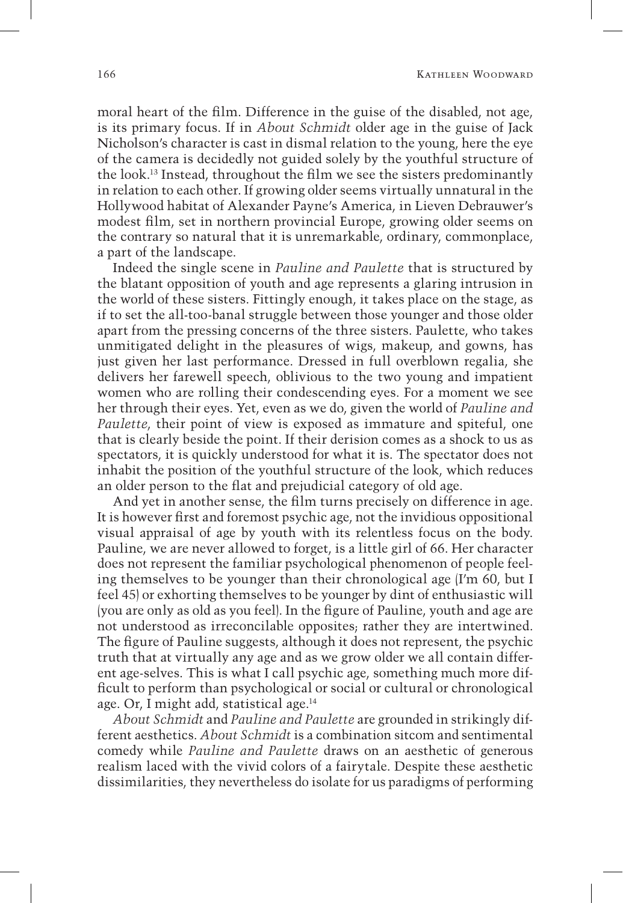moral heart of the film. Difference in the guise of the disabled, not age, is its primary focus. If in *About Schmidt* older age in the guise of Jack Nicholson's character is cast in dismal relation to the young, here the eye of the camera is decidedly not guided solely by the youthful structure of the look.13 Instead, throughout the film we see the sisters predominantly in relation to each other. If growing older seems virtually unnatural in the Hollywood habitat of Alexander Payne's America, in Lieven Debrauwer's modest film, set in northern provincial Europe, growing older seems on the contrary so natural that it is unremarkable, ordinary, commonplace, a part of the landscape.

Indeed the single scene in *Pauline and Paulette* that is structured by the blatant opposition of youth and age represents a glaring intrusion in the world of these sisters. Fittingly enough, it takes place on the stage, as if to set the all-too-banal struggle between those younger and those older apart from the pressing concerns of the three sisters. Paulette, who takes unmitigated delight in the pleasures of wigs, makeup, and gowns, has just given her last performance. Dressed in full overblown regalia, she delivers her farewell speech, oblivious to the two young and impatient women who are rolling their condescending eyes. For a moment we see her through their eyes. Yet, even as we do, given the world of *Pauline and Paulette*, their point of view is exposed as immature and spiteful, one that is clearly beside the point. If their derision comes as a shock to us as spectators, it is quickly understood for what it is. The spectator does not inhabit the position of the youthful structure of the look, which reduces an older person to the flat and prejudicial category of old age.

And yet in another sense, the film turns precisely on difference in age. It is however first and foremost psychic age, not the invidious oppositional visual appraisal of age by youth with its relentless focus on the body. Pauline, we are never allowed to forget, is a little girl of 66. Her character does not represent the familiar psychological phenomenon of people feeling themselves to be younger than their chronological age (I'm 60, but I feel 45) or exhorting themselves to be younger by dint of enthusiastic will (you are only as old as you feel). In the figure of Pauline, youth and age are not understood as irreconcilable opposites; rather they are intertwined. The figure of Pauline suggests, although it does not represent, the psychic truth that at virtually any age and as we grow older we all contain different age-selves. This is what I call psychic age, something much more difficult to perform than psychological or social or cultural or chronological age. Or, I might add, statistical age.14

*About Schmidt* and *Pauline and Paulette* are grounded in strikingly different aesthetics. *About Schmidt* is a combination sitcom and sentimental comedy while *Pauline and Paulette* draws on an aesthetic of generous realism laced with the vivid colors of a fairytale. Despite these aesthetic dissimilarities, they nevertheless do isolate for us paradigms of performing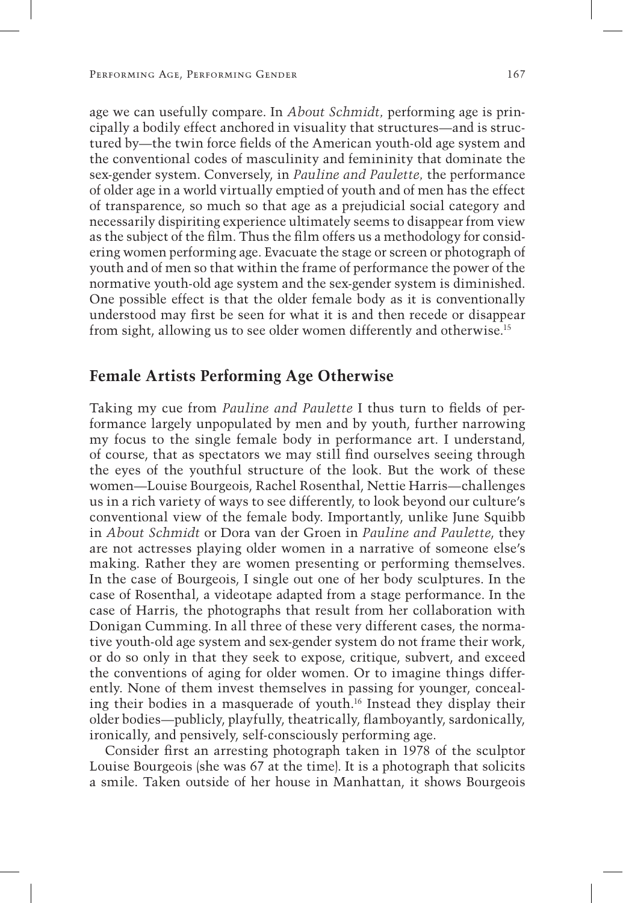age we can usefully compare. In *About Schmidt,* performing age is principally a bodily effect anchored in visuality that structures—and is structured by—the twin force fields of the American youth-old age system and the conventional codes of masculinity and femininity that dominate the sex-gender system. Conversely, in *Pauline and Paulette,* the performance of older age in a world virtually emptied of youth and of men has the effect of transparence, so much so that age as a prejudicial social category and necessarily dispiriting experience ultimately seems to disappear from view as the subject of the film. Thus the film offers us a methodology for considering women performing age. Evacuate the stage or screen or photograph of youth and of men so that within the frame of performance the power of the normative youth-old age system and the sex-gender system is diminished. One possible effect is that the older female body as it is conventionally understood may first be seen for what it is and then recede or disappear from sight, allowing us to see older women differently and otherwise.15

### **Female Artists Performing Age Otherwise**

Taking my cue from *Pauline and Paulette* I thus turn to fields of performance largely unpopulated by men and by youth, further narrowing my focus to the single female body in performance art. I understand, of course, that as spectators we may still find ourselves seeing through the eyes of the youthful structure of the look. But the work of these women—Louise Bourgeois, Rachel Rosenthal, Nettie Harris—challenges us in a rich variety of ways to see differently, to look beyond our culture's conventional view of the female body. Importantly, unlike June Squibb in *About Schmidt* or Dora van der Groen in *Pauline and Paulette*, they are not actresses playing older women in a narrative of someone else's making. Rather they are women presenting or performing themselves. In the case of Bourgeois, I single out one of her body sculptures. In the case of Rosenthal, a videotape adapted from a stage performance. In the case of Harris, the photographs that result from her collaboration with Donigan Cumming. In all three of these very different cases, the normative youth-old age system and sex-gender system do not frame their work, or do so only in that they seek to expose, critique, subvert, and exceed the conventions of aging for older women. Or to imagine things differently. None of them invest themselves in passing for younger, concealing their bodies in a masquerade of youth.16 Instead they display their older bodies—publicly, playfully, theatrically, flamboyantly, sardonically, ironically, and pensively, self-consciously performing age.

Consider first an arresting photograph taken in 1978 of the sculptor Louise Bourgeois (she was 67 at the time). It is a photograph that solicits a smile. Taken outside of her house in Manhattan, it shows Bourgeois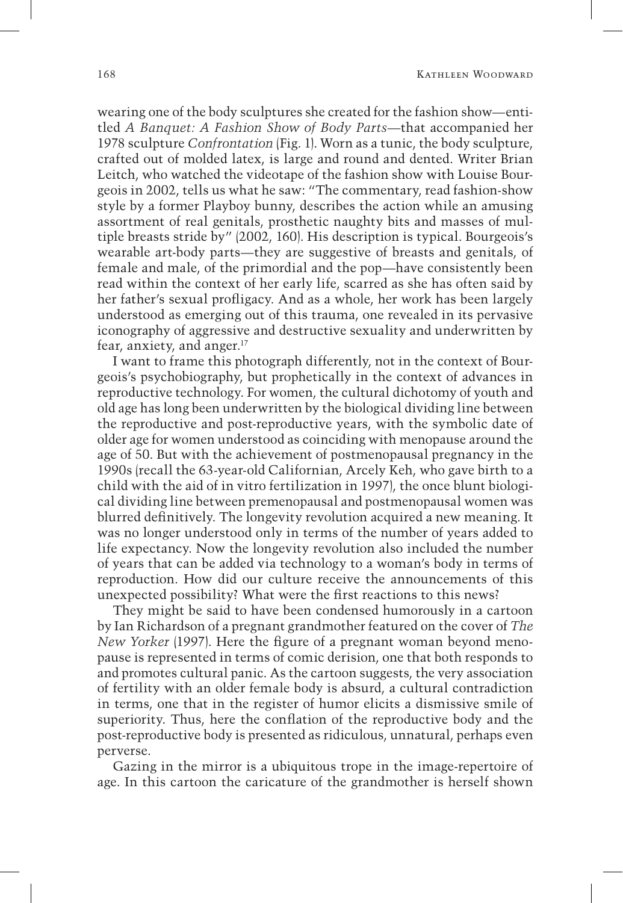wearing one of the body sculptures she created for the fashion show—entitled *A Banquet: A Fashion Show of Body Parts*—that accompanied her 1978 sculpture *Confrontation* (Fig. 1). Worn as a tunic, the body sculpture, crafted out of molded latex, is large and round and dented. Writer Brian Leitch, who watched the videotape of the fashion show with Louise Bourgeois in 2002, tells us what he saw: "The commentary, read fashion-show style by a former Playboy bunny, describes the action while an amusing assortment of real genitals, prosthetic naughty bits and masses of multiple breasts stride by" (2002, 160). His description is typical. Bourgeois's wearable art-body parts—they are suggestive of breasts and genitals, of female and male, of the primordial and the pop—have consistently been read within the context of her early life, scarred as she has often said by her father's sexual profligacy. And as a whole, her work has been largely understood as emerging out of this trauma, one revealed in its pervasive iconography of aggressive and destructive sexuality and underwritten by fear, anxiety, and anger.17

I want to frame this photograph differently, not in the context of Bourgeois's psychobiography, but prophetically in the context of advances in reproductive technology. For women, the cultural dichotomy of youth and old age has long been underwritten by the biological dividing line between the reproductive and post-reproductive years, with the symbolic date of older age for women understood as coinciding with menopause around the age of 50. But with the achievement of postmenopausal pregnancy in the 1990s (recall the 63-year-old Californian, Arcely Keh, who gave birth to a child with the aid of in vitro fertilization in 1997), the once blunt biological dividing line between premenopausal and postmenopausal women was blurred definitively. The longevity revolution acquired a new meaning. It was no longer understood only in terms of the number of years added to life expectancy. Now the longevity revolution also included the number of years that can be added via technology to a woman's body in terms of reproduction. How did our culture receive the announcements of this unexpected possibility? What were the first reactions to this news?

They might be said to have been condensed humorously in a cartoon by Ian Richardson of a pregnant grandmother featured on the cover of *The New Yorker* (1997). Here the figure of a pregnant woman beyond menopause is represented in terms of comic derision, one that both responds to and promotes cultural panic. As the cartoon suggests, the very association of fertility with an older female body is absurd, a cultural contradiction in terms, one that in the register of humor elicits a dismissive smile of superiority. Thus, here the conflation of the reproductive body and the post-reproductive body is presented as ridiculous, unnatural, perhaps even perverse.

Gazing in the mirror is a ubiquitous trope in the image-repertoire of age. In this cartoon the caricature of the grandmother is herself shown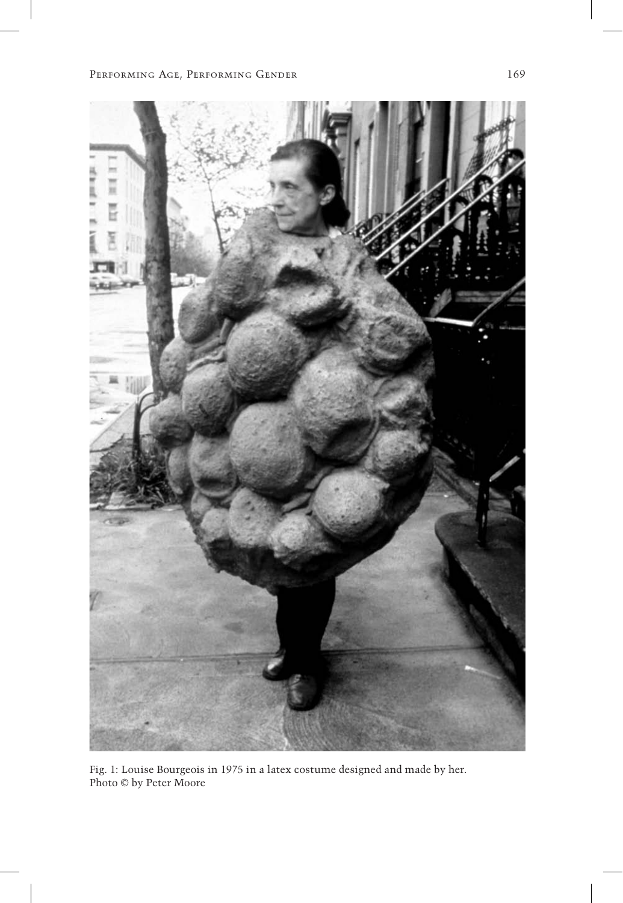

Fig. 1: Louise Bourgeois in 1975 in a latex costume designed and made by her. Photo © by Peter Moore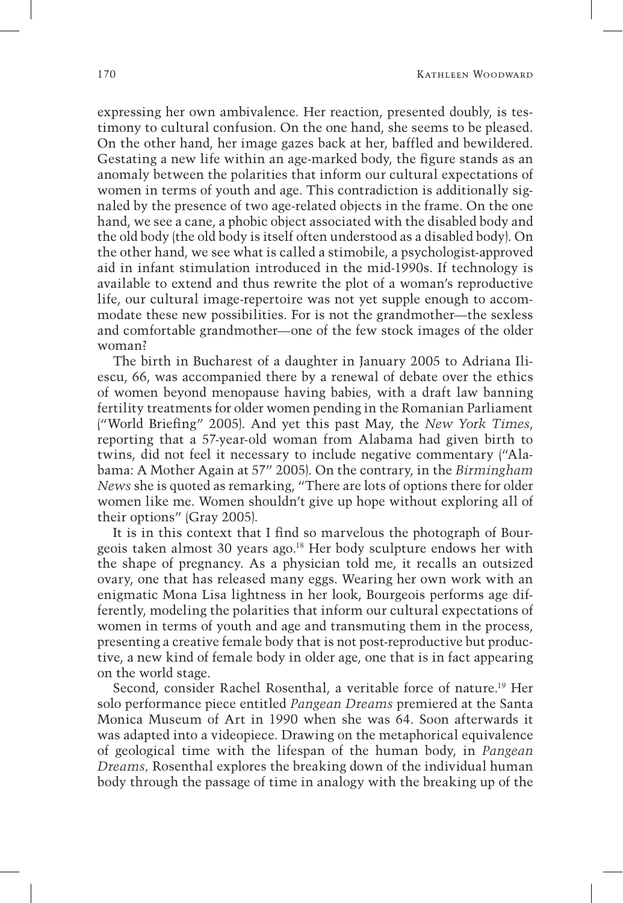expressing her own ambivalence. Her reaction, presented doubly, is testimony to cultural confusion. On the one hand, she seems to be pleased. On the other hand, her image gazes back at her, baffled and bewildered. Gestating a new life within an age-marked body, the figure stands as an anomaly between the polarities that inform our cultural expectations of women in terms of youth and age. This contradiction is additionally signaled by the presence of two age-related objects in the frame. On the one hand, we see a cane, a phobic object associated with the disabled body and the old body (the old body is itself often understood as a disabled body). On the other hand, we see what is called a stimobile, a psychologist-approved aid in infant stimulation introduced in the mid-1990s. If technology is available to extend and thus rewrite the plot of a woman's reproductive life, our cultural image-repertoire was not yet supple enough to accommodate these new possibilities. For is not the grandmother—the sexless and comfortable grandmother—one of the few stock images of the older woman?

The birth in Bucharest of a daughter in January 2005 to Adriana Iliescu, 66, was accompanied there by a renewal of debate over the ethics of women beyond menopause having babies, with a draft law banning fertility treatments for older women pending in the Romanian Parliament ("World Briefing" 2005). And yet this past May, the *New York Times*, reporting that a 57-year-old woman from Alabama had given birth to twins, did not feel it necessary to include negative commentary ("Alabama: A Mother Again at 57" 2005). On the contrary, in the *Birmingham News* she is quoted as remarking, "There are lots of options there for older women like me. Women shouldn't give up hope without exploring all of their options" (Gray 2005).

It is in this context that I find so marvelous the photograph of Bourgeois taken almost 30 years ago.18 Her body sculpture endows her with the shape of pregnancy. As a physician told me, it recalls an outsized ovary, one that has released many eggs. Wearing her own work with an enigmatic Mona Lisa lightness in her look, Bourgeois performs age differently, modeling the polarities that inform our cultural expectations of women in terms of youth and age and transmuting them in the process, presenting a creative female body that is not post-reproductive but productive, a new kind of female body in older age, one that is in fact appearing on the world stage.

Second, consider Rachel Rosenthal, a veritable force of nature.19 Her solo performance piece entitled *Pangean Dreams* premiered at the Santa Monica Museum of Art in 1990 when she was 64. Soon afterwards it was adapted into a videopiece. Drawing on the metaphorical equivalence of geological time with the lifespan of the human body, in *Pangean Dreams,* Rosenthal explores the breaking down of the individual human body through the passage of time in analogy with the breaking up of the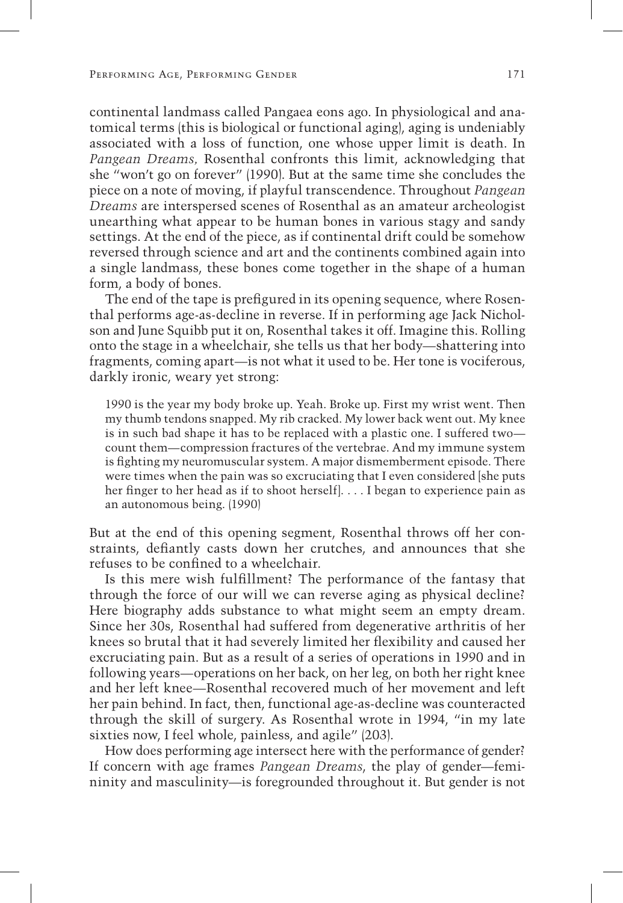continental landmass called Pangaea eons ago. In physiological and anatomical terms (this is biological or functional aging), aging is undeniably associated with a loss of function, one whose upper limit is death. In *Pangean Dreams,* Rosenthal confronts this limit, acknowledging that she "won't go on forever" (1990). But at the same time she concludes the piece on a note of moving, if playful transcendence. Throughout *Pangean Dreams* are interspersed scenes of Rosenthal as an amateur archeologist unearthing what appear to be human bones in various stagy and sandy settings. At the end of the piece, as if continental drift could be somehow reversed through science and art and the continents combined again into a single landmass, these bones come together in the shape of a human form, a body of bones.

The end of the tape is prefigured in its opening sequence, where Rosenthal performs age-as-decline in reverse. If in performing age Jack Nicholson and June Squibb put it on, Rosenthal takes it off. Imagine this. Rolling onto the stage in a wheelchair, she tells us that her body—shattering into fragments, coming apart—is not what it used to be. Her tone is vociferous, darkly ironic, weary yet strong:

1990 is the year my body broke up. Yeah. Broke up. First my wrist went. Then my thumb tendons snapped. My rib cracked. My lower back went out. My knee is in such bad shape it has to be replaced with a plastic one. I suffered two count them—compression fractures of the vertebrae. And my immune system is fighting my neuromuscular system. A major dismemberment episode. There were times when the pain was so excruciating that I even considered [she puts her finger to her head as if to shoot herself]. . . . I began to experience pain as an autonomous being. (1990)

But at the end of this opening segment, Rosenthal throws off her constraints, defiantly casts down her crutches, and announces that she refuses to be confined to a wheelchair.

Is this mere wish fulfillment? The performance of the fantasy that through the force of our will we can reverse aging as physical decline? Here biography adds substance to what might seem an empty dream. Since her 30s, Rosenthal had suffered from degenerative arthritis of her knees so brutal that it had severely limited her flexibility and caused her excruciating pain. But as a result of a series of operations in 1990 and in following years—operations on her back, on her leg, on both her right knee and her left knee—Rosenthal recovered much of her movement and left her pain behind. In fact, then, functional age-as-decline was counteracted through the skill of surgery. As Rosenthal wrote in 1994, "in my late sixties now, I feel whole, painless, and agile" (203).

How does performing age intersect here with the performance of gender? If concern with age frames *Pangean Dreams*, the play of gender—femininity and masculinity—is foregrounded throughout it. But gender is not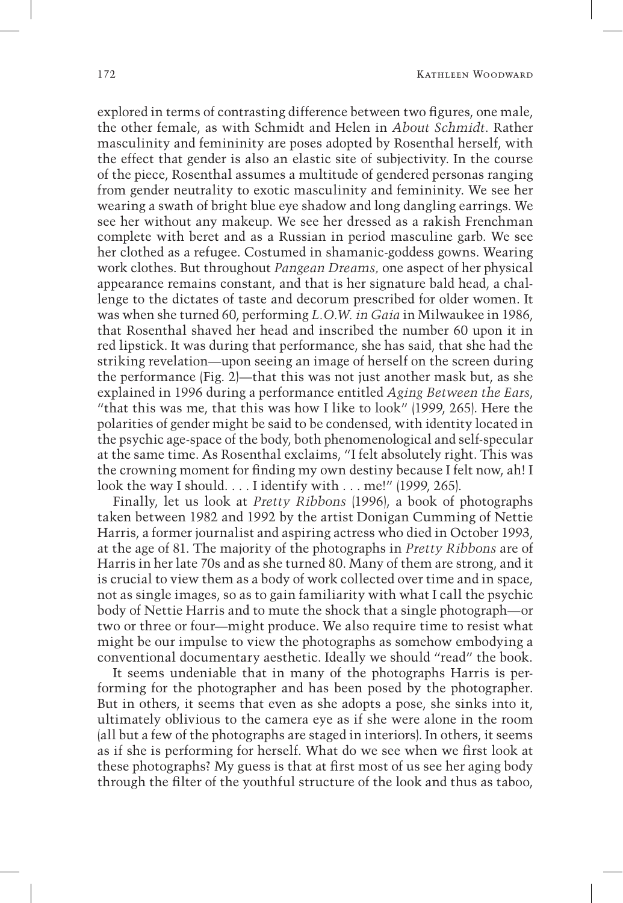explored in terms of contrasting difference between two figures, one male, the other female, as with Schmidt and Helen in *About Schmidt*. Rather masculinity and femininity are poses adopted by Rosenthal herself, with the effect that gender is also an elastic site of subjectivity. In the course of the piece, Rosenthal assumes a multitude of gendered personas ranging from gender neutrality to exotic masculinity and femininity. We see her wearing a swath of bright blue eye shadow and long dangling earrings. We see her without any makeup. We see her dressed as a rakish Frenchman complete with beret and as a Russian in period masculine garb. We see her clothed as a refugee. Costumed in shamanic-goddess gowns. Wearing work clothes. But throughout *Pangean Dreams,* one aspect of her physical appearance remains constant, and that is her signature bald head, a challenge to the dictates of taste and decorum prescribed for older women. It was when she turned 60, performing *L.O.W. in Gaia* in Milwaukee in 1986, that Rosenthal shaved her head and inscribed the number 60 upon it in red lipstick. It was during that performance, she has said, that she had the striking revelation—upon seeing an image of herself on the screen during the performance (Fig. 2)—that this was not just another mask but, as she explained in 1996 during a performance entitled *Aging Between the Ears*, "that this was me, that this was how I like to look" (1999, 265). Here the polarities of gender might be said to be condensed, with identity located in the psychic age-space of the body, both phenomenological and self-specular at the same time. As Rosenthal exclaims, "I felt absolutely right. This was the crowning moment for finding my own destiny because I felt now, ah! I look the way I should. . . . I identify with . . . me!" (1999, 265).

Finally, let us look at *Pretty Ribbons* (1996), a book of photographs taken between 1982 and 1992 by the artist Donigan Cumming of Nettie Harris, a former journalist and aspiring actress who died in October 1993, at the age of 81. The majority of the photographs in *Pretty Ribbons* are of Harris in her late 70s and as she turned 80. Many of them are strong, and it is crucial to view them as a body of work collected over time and in space, not as single images, so as to gain familiarity with what I call the psychic body of Nettie Harris and to mute the shock that a single photograph—or two or three or four—might produce. We also require time to resist what might be our impulse to view the photographs as somehow embodying a conventional documentary aesthetic. Ideally we should "read" the book.

It seems undeniable that in many of the photographs Harris is performing for the photographer and has been posed by the photographer. But in others, it seems that even as she adopts a pose, she sinks into it, ultimately oblivious to the camera eye as if she were alone in the room (all but a few of the photographs are staged in interiors). In others, it seems as if she is performing for herself. What do we see when we first look at these photographs? My guess is that at first most of us see her aging body through the filter of the youthful structure of the look and thus as taboo,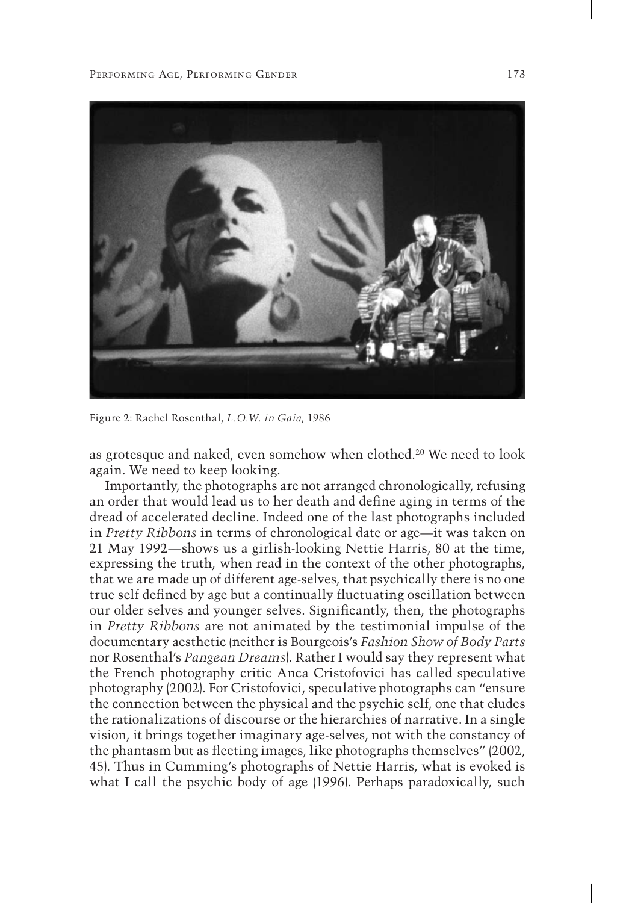

Figure 2: Rachel Rosenthal, *L.O.W. in Gaia*, 1986

as grotesque and naked, even somehow when clothed.20 We need to look again. We need to keep looking.

Importantly, the photographs are not arranged chronologically, refusing an order that would lead us to her death and define aging in terms of the dread of accelerated decline. Indeed one of the last photographs included in *Pretty Ribbons* in terms of chronological date or age—it was taken on 21 May 1992—shows us a girlish-looking Nettie Harris, 80 at the time, expressing the truth, when read in the context of the other photographs, that we are made up of different age-selves, that psychically there is no one true self defined by age but a continually fluctuating oscillation between our older selves and younger selves. Significantly, then, the photographs in *Pretty Ribbons* are not animated by the testimonial impulse of the documentary aesthetic (neither is Bourgeois's *Fashion Show of Body Parts* nor Rosenthal's *Pangean Dreams*). Rather I would say they represent what the French photography critic Anca Cristofovici has called speculative photography (2002). For Cristofovici, speculative photographs can "ensure the connection between the physical and the psychic self, one that eludes the rationalizations of discourse or the hierarchies of narrative. In a single vision, it brings together imaginary age-selves, not with the constancy of the phantasm but as fleeting images, like photographs themselves" (2002, 45). Thus in Cumming's photographs of Nettie Harris, what is evoked is what I call the psychic body of age (1996). Perhaps paradoxically, such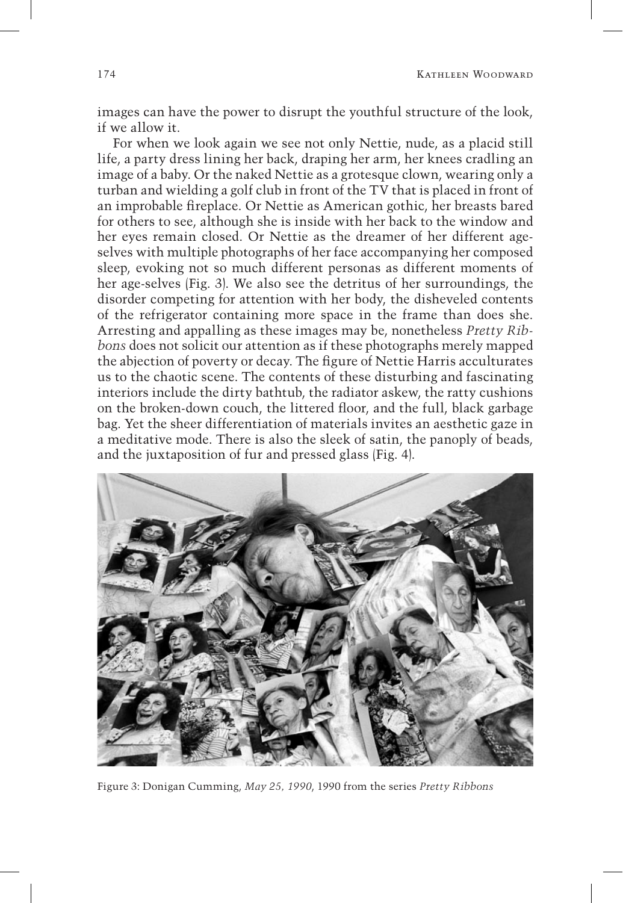images can have the power to disrupt the youthful structure of the look, if we allow it.

For when we look again we see not only Nettie, nude, as a placid still life, a party dress lining her back, draping her arm, her knees cradling an image of a baby. Or the naked Nettie as a grotesque clown, wearing only a turban and wielding a golf club in front of the TV that is placed in front of an improbable fireplace. Or Nettie as American gothic, her breasts bared for others to see, although she is inside with her back to the window and her eyes remain closed. Or Nettie as the dreamer of her different ageselves with multiple photographs of her face accompanying her composed sleep, evoking not so much different personas as different moments of her age-selves (Fig. 3). We also see the detritus of her surroundings, the disorder competing for attention with her body, the disheveled contents of the refrigerator containing more space in the frame than does she. Arresting and appalling as these images may be, nonetheless *Pretty Ribbons* does not solicit our attention as if these photographs merely mapped the abjection of poverty or decay. The figure of Nettie Harris acculturates us to the chaotic scene. The contents of these disturbing and fascinating interiors include the dirty bathtub, the radiator askew, the ratty cushions on the broken-down couch, the littered floor, and the full, black garbage bag. Yet the sheer differentiation of materials invites an aesthetic gaze in a meditative mode. There is also the sleek of satin, the panoply of beads, and the juxtaposition of fur and pressed glass (Fig. 4).



Figure 3: Donigan Cumming, *May 25, 1990*, 1990 from the series *Pretty Ribbons*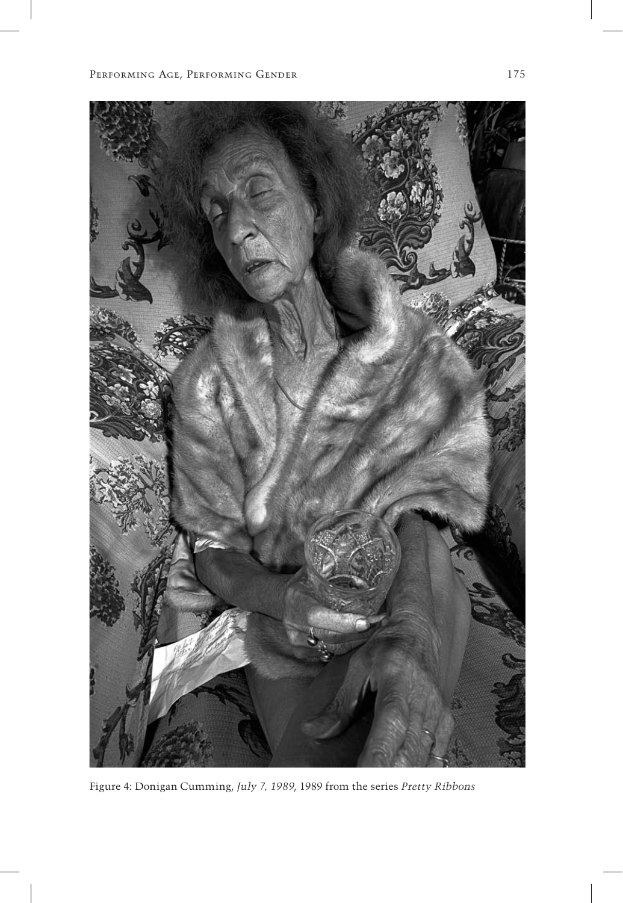

Figure 4: Donigan Cumming, *July 7, 1989*, 1989 from the series *Pretty Ribbons*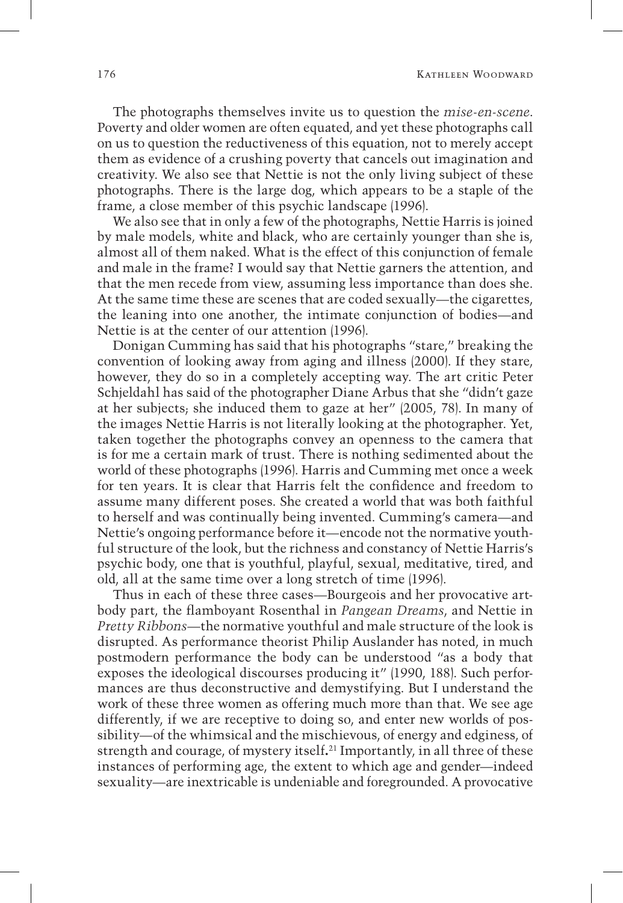The photographs themselves invite us to question the *mise-en-scene*. Poverty and older women are often equated, and yet these photographs call on us to question the reductiveness of this equation, not to merely accept them as evidence of a crushing poverty that cancels out imagination and creativity. We also see that Nettie is not the only living subject of these photographs. There is the large dog, which appears to be a staple of the frame, a close member of this psychic landscape (1996).

We also see that in only a few of the photographs, Nettie Harris is joined by male models, white and black, who are certainly younger than she is, almost all of them naked. What is the effect of this conjunction of female and male in the frame? I would say that Nettie garners the attention, and that the men recede from view, assuming less importance than does she. At the same time these are scenes that are coded sexually—the cigarettes, the leaning into one another, the intimate conjunction of bodies—and Nettie is at the center of our attention (1996).

Donigan Cumming has said that his photographs "stare," breaking the convention of looking away from aging and illness (2000). If they stare, however, they do so in a completely accepting way. The art critic Peter Schjeldahl has said of the photographer Diane Arbus that she "didn't gaze at her subjects; she induced them to gaze at her" (2005, 78). In many of the images Nettie Harris is not literally looking at the photographer. Yet, taken together the photographs convey an openness to the camera that is for me a certain mark of trust. There is nothing sedimented about the world of these photographs (1996). Harris and Cumming met once a week for ten years. It is clear that Harris felt the confidence and freedom to assume many different poses. She created a world that was both faithful to herself and was continually being invented. Cumming's camera—and Nettie's ongoing performance before it—encode not the normative youthful structure of the look, but the richness and constancy of Nettie Harris's psychic body, one that is youthful, playful, sexual, meditative, tired, and old, all at the same time over a long stretch of time (1996).

Thus in each of these three cases—Bourgeois and her provocative artbody part, the flamboyant Rosenthal in *Pangean Dreams*, and Nettie in *Pretty Ribbons*—the normative youthful and male structure of the look is disrupted. As performance theorist Philip Auslander has noted, in much postmodern performance the body can be understood "as a body that exposes the ideological discourses producing it" (1990, 188). Such performances are thus deconstructive and demystifying. But I understand the work of these three women as offering much more than that. We see age differently, if we are receptive to doing so, and enter new worlds of possibility—of the whimsical and the mischievous, of energy and edginess, of strength and courage, of mystery itself**.** 21 Importantly, in all three of these instances of performing age, the extent to which age and gender—indeed sexuality—are inextricable is undeniable and foregrounded. A provocative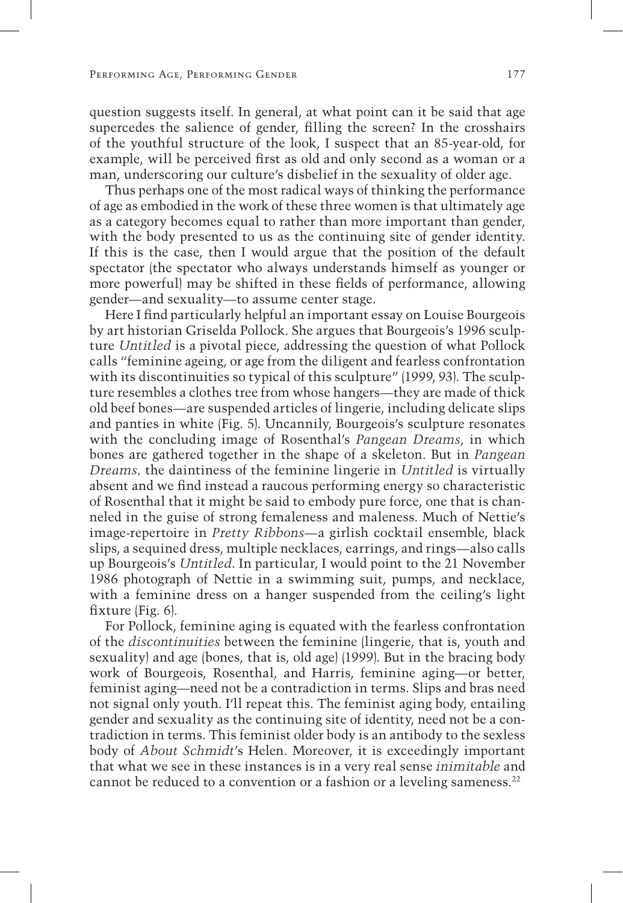question suggests itself. In general, at what point can it be said that age supercedes the salience of gender, filling the screen? In the crosshairs of the youthful structure of the look, I suspect that an 85-year-old, for example, will be perceived first as old and only second as a woman or a man, underscoring our culture's disbelief in the sexuality of older age.

Thus perhaps one of the most radical ways of thinking the performance of age as embodied in the work of these three women is that ultimately age as a category becomes equal to rather than more important than gender, with the body presented to us as the continuing site of gender identity. If this is the case, then I would argue that the position of the default spectator (the spectator who always understands himself as younger or more powerful) may be shifted in these fields of performance, allowing gender—and sexuality—to assume center stage.

Here I find particularly helpful an important essay on Louise Bourgeois by art historian Griselda Pollock. She argues that Bourgeois's 1996 sculpture *Untitled* is a pivotal piece, addressing the question of what Pollock calls "feminine ageing, or age from the diligent and fearless confrontation with its discontinuities so typical of this sculpture" (1999, 93). The sculpture resembles a clothes tree from whose hangers—they are made of thick old beef bones—are suspended articles of lingerie, including delicate slips and panties in white (Fig. 5). Uncannily, Bourgeois's sculpture resonates with the concluding image of Rosenthal's *Pangean Dreams*, in which bones are gathered together in the shape of a skeleton. But in *Pangean Dreams,* the daintiness of the feminine lingerie in *Untitled* is virtually absent and we find instead a raucous performing energy so characteristic of Rosenthal that it might be said to embody pure force, one that is channeled in the guise of strong femaleness and maleness. Much of Nettie's image-repertoire in *Pretty Ribbons*—a girlish cocktail ensemble, black slips, a sequined dress, multiple necklaces, earrings, and rings—also calls up Bourgeois's *Untitled*. In particular, I would point to the 21 November 1986 photograph of Nettie in a swimming suit, pumps, and necklace, with a feminine dress on a hanger suspended from the ceiling's light fixture (Fig. 6).

For Pollock, feminine aging is equated with the fearless confrontation of the *discontinuities* between the feminine (lingerie, that is, youth and sexuality) and age (bones, that is, old age) (1999). But in the bracing body work of Bourgeois, Rosenthal, and Harris, feminine aging—or better, feminist aging—need not be a contradiction in terms. Slips and bras need not signal only youth. I'll repeat this. The feminist aging body, entailing gender and sexuality as the continuing site of identity, need not be a contradiction in terms. This feminist older body is an antibody to the sexless body of *About Schmidt*'s Helen. Moreover, it is exceedingly important that what we see in these instances is in a very real sense *inimitable* and cannot be reduced to a convention or a fashion or a leveling sameness.<sup>22</sup>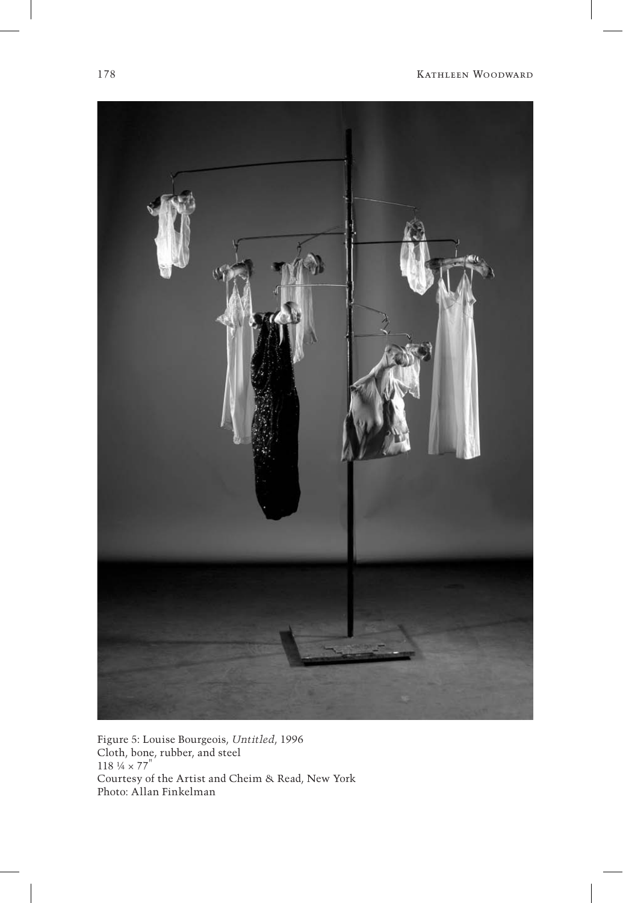

Figure 5: Louise Bourgeois, *Untitled*, 1996 Cloth, bone, rubber, and steel  $118 \frac{1}{4} \times 77$ " Courtesy of the Artist and Cheim & Read, New York Photo: Allan Finkelman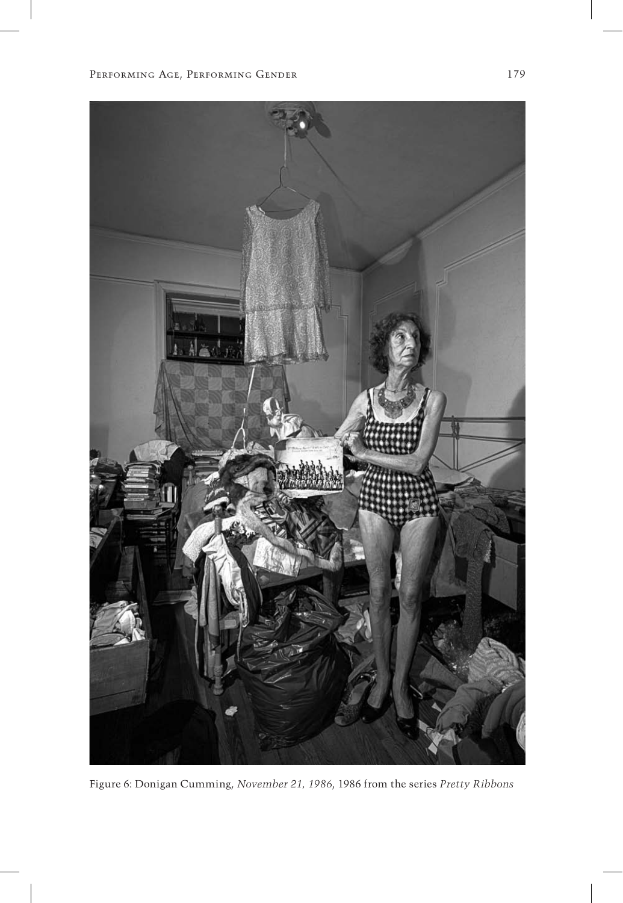![](_page_17_Picture_1.jpeg)

Figure 6: Donigan Cumming, *November 21, 1986*, 1986 from the series *Pretty Ribbons*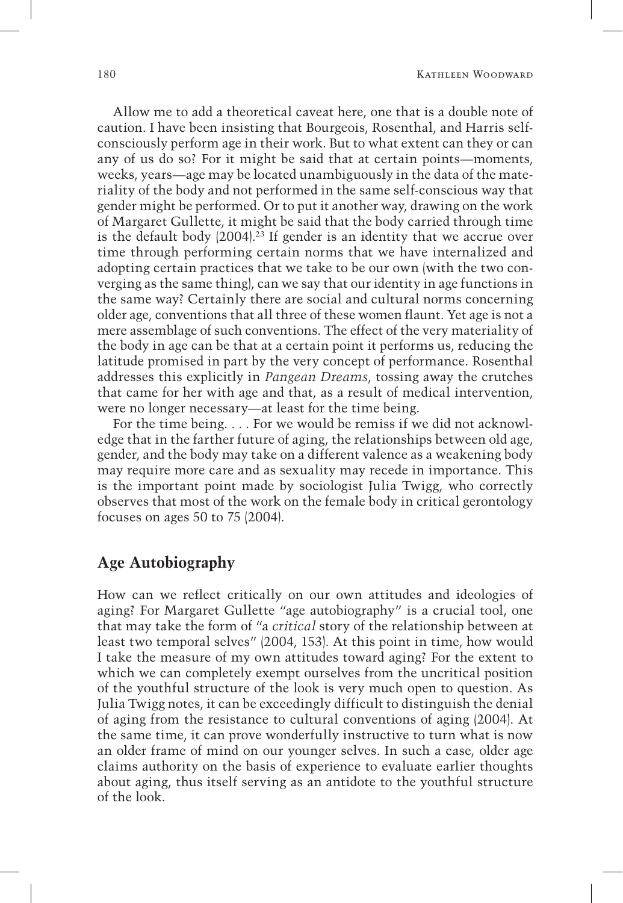Allow me to add a theoretical caveat here, one that is a double note of caution. I have been insisting that Bourgeois, Rosenthal, and Harris selfconsciously perform age in their work. But to what extent can they or can any of us do so? For it might be said that at certain points—moments, weeks, years—age may be located unambiguously in the data of the materiality of the body and not performed in the same self-conscious way that gender might be performed. Or to put it another way, drawing on the work of Margaret Gullette, it might be said that the body carried through time is the default body (2004).<sup>23</sup> If gender is an identity that we accrue over time through performing certain norms that we have internalized and adopting certain practices that we take to be our own (with the two converging as the same thing), can we say that our identity in age functions in the same way? Certainly there are social and cultural norms concerning older age, conventions that all three of these women flaunt. Yet age is not a mere assemblage of such conventions. The effect of the very materiality of the body in age can be that at a certain point it performs us, reducing the latitude promised in part by the very concept of performance. Rosenthal addresses this explicitly in *Pangean Dreams*, tossing away the crutches that came for her with age and that, as a result of medical intervention, were no longer necessary—at least for the time being.

For the time being. . . . For we would be remiss if we did not acknowledge that in the farther future of aging, the relationships between old age, gender, and the body may take on a different valence as a weakening body may require more care and as sexuality may recede in importance. This is the important point made by sociologist Julia Twigg, who correctly observes that most of the work on the female body in critical gerontology focuses on ages 50 to 75 (2004).

#### **Age Autobiography**

How can we reflect critically on our own attitudes and ideologies of aging? For Margaret Gullette "age autobiography" is a crucial tool, one that may take the form of "a *critical* story of the relationship between at least two temporal selves" (2004, 153). At this point in time, how would I take the measure of my own attitudes toward aging? For the extent to which we can completely exempt ourselves from the uncritical position of the youthful structure of the look is very much open to question. As Julia Twigg notes, it can be exceedingly difficult to distinguish the denial of aging from the resistance to cultural conventions of aging (2004). At the same time, it can prove wonderfully instructive to turn what is now an older frame of mind on our younger selves. In such a case, older age claims authority on the basis of experience to evaluate earlier thoughts about aging, thus itself serving as an antidote to the youthful structure of the look.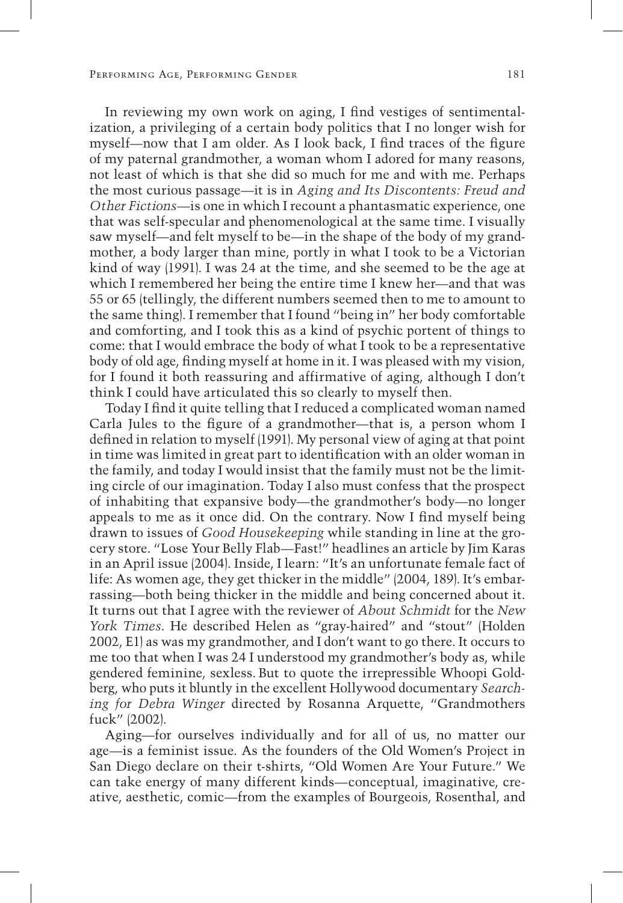In reviewing my own work on aging, I find vestiges of sentimentalization, a privileging of a certain body politics that I no longer wish for myself—now that I am older. As I look back, I find traces of the figure of my paternal grandmother, a woman whom I adored for many reasons, not least of which is that she did so much for me and with me. Perhaps the most curious passage—it is in *Aging and Its Discontents: Freud and Other Fictions*—is one in which I recount a phantasmatic experience, one that was self-specular and phenomenological at the same time. I visually saw myself—and felt myself to be—in the shape of the body of my grandmother, a body larger than mine, portly in what I took to be a Victorian kind of way (1991). I was 24 at the time, and she seemed to be the age at which I remembered her being the entire time I knew her—and that was 55 or 65 (tellingly, the different numbers seemed then to me to amount to the same thing). I remember that I found "being in" her body comfortable and comforting, and I took this as a kind of psychic portent of things to come: that I would embrace the body of what I took to be a representative body of old age, finding myself at home in it. I was pleased with my vision, for I found it both reassuring and affirmative of aging, although I don't think I could have articulated this so clearly to myself then.

Today I find it quite telling that I reduced a complicated woman named Carla Jules to the figure of a grandmother—that is, a person whom I defined in relation to myself (1991). My personal view of aging at that point in time was limited in great part to identification with an older woman in the family, and today I would insist that the family must not be the limiting circle of our imagination. Today I also must confess that the prospect of inhabiting that expansive body—the grandmother's body—no longer appeals to me as it once did. On the contrary. Now I find myself being drawn to issues of *Good Housekeeping* while standing in line at the grocery store. "Lose Your Belly Flab—Fast!" headlines an article by Jim Karas in an April issue (2004). Inside, I learn: "It's an unfortunate female fact of life: As women age, they get thicker in the middle" (2004, 189). It's embarrassing—both being thicker in the middle and being concerned about it. It turns out that I agree with the reviewer of *About Schmidt* for the *New York Times*. He described Helen as "gray-haired" and "stout" (Holden 2002, E1) as was my grandmother, and I don't want to go there. It occurs to me too that when I was 24 I understood my grandmother's body as, while gendered feminine, sexless. But to quote the irrepressible Whoopi Goldberg, who puts it bluntly in the excellent Hollywood documentary *Searching for Debra Winger* directed by Rosanna Arquette, "Grandmothers fuck" (2002).

Aging—for ourselves individually and for all of us, no matter our age—is a feminist issue. As the founders of the Old Women's Project in San Diego declare on their t-shirts, "Old Women Are Your Future." We can take energy of many different kinds—conceptual, imaginative, creative, aesthetic, comic—from the examples of Bourgeois, Rosenthal, and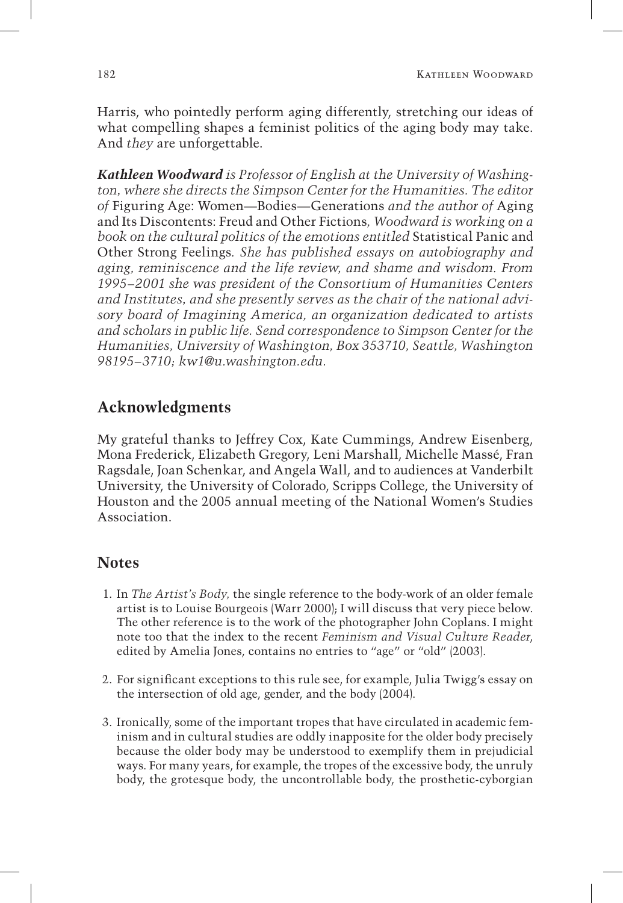Harris, who pointedly perform aging differently, stretching our ideas of what compelling shapes a feminist politics of the aging body may take. And *they* are unforgettable.

*Kathleen Woodward is Professor of English at the University of Washington, where she directs the Simpson Center for the Humanities. The editor of* Figuring Age: Women—Bodies—Generations *and the author of* Aging and Its Discontents: Freud and Other Fictions*, Woodward is working on a book on the cultural politics of the emotions entitled* Statistical Panic and Other Strong Feelings*. She has published essays on autobiography and aging, reminiscence and the life review, and shame and wisdom. From 1995–2001 she was president of the Consortium of Humanities Centers and Institutes, and she presently serves as the chair of the national advisory board of Imagining America, an organization dedicated to artists and scholars in public life. Send correspondence to Simpson Center for the Humanities, University of Washington, Box 353710, Seattle, Washington 98195–3710; kw1@u.washington.edu.*

# **Acknowledgments**

My grateful thanks to Jeffrey Cox, Kate Cummings, Andrew Eisenberg, Mona Frederick, Elizabeth Gregory, Leni Marshall, Michelle Massé, Fran Ragsdale, Joan Schenkar, and Angela Wall, and to audiences at Vanderbilt University, the University of Colorado, Scripps College, the University of Houston and the 2005 annual meeting of the National Women's Studies Association.

# **Notes**

- 1. In *The Artist's Body,* the single reference to the body-work of an older female artist is to Louise Bourgeois (Warr 2000); I will discuss that very piece below. The other reference is to the work of the photographer John Coplans. I might note too that the index to the recent *Feminism and Visual Culture Reader*, edited by Amelia Jones, contains no entries to "age" or "old" (2003).
- 2. For significant exceptions to this rule see, for example, Julia Twigg's essay on the intersection of old age, gender, and the body (2004).
- 3. Ironically, some of the important tropes that have circulated in academic feminism and in cultural studies are oddly inapposite for the older body precisely because the older body may be understood to exemplify them in prejudicial ways. For many years, for example, the tropes of the excessive body, the unruly body, the grotesque body, the uncontrollable body, the prosthetic-cyborgian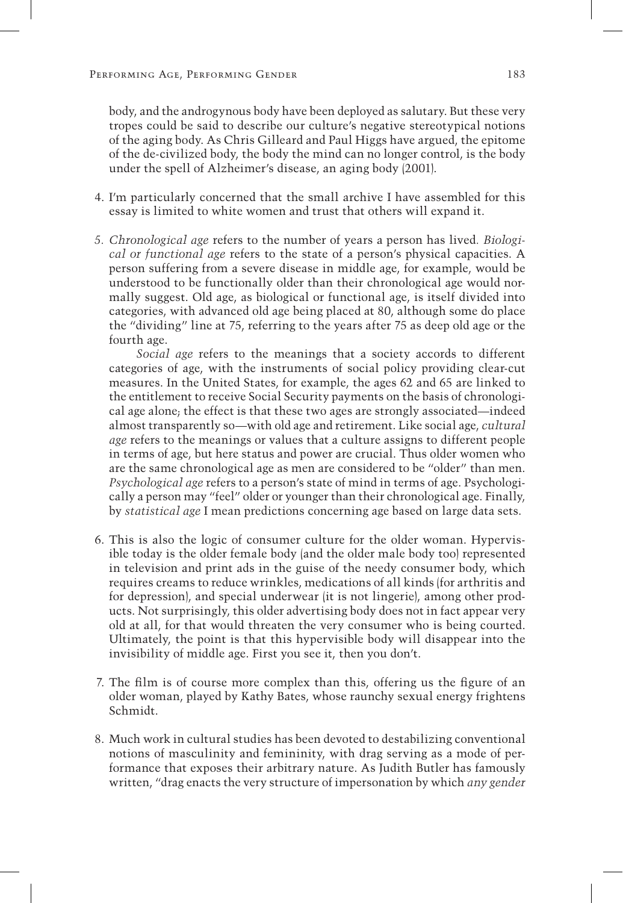body, and the androgynous body have been deployed as salutary. But these very tropes could be said to describe our culture's negative stereotypical notions of the aging body. As Chris Gilleard and Paul Higgs have argued, the epitome of the de-civilized body, the body the mind can no longer control, is the body under the spell of Alzheimer's disease, an aging body (2001).

- 4. I'm particularly concerned that the small archive I have assembled for this essay is limited to white women and trust that others will expand it.
- *5. Chronological age* refers to the number of years a person has lived*. Biological or functional age* refers to the state of a person's physical capacities. A person suffering from a severe disease in middle age, for example, would be understood to be functionally older than their chronological age would normally suggest. Old age, as biological or functional age, is itself divided into categories, with advanced old age being placed at 80, although some do place the "dividing" line at 75, referring to the years after 75 as deep old age or the fourth age.

 *Social age* refers to the meanings that a society accords to different categories of age, with the instruments of social policy providing clear-cut measures. In the United States, for example, the ages 62 and 65 are linked to the entitlement to receive Social Security payments on the basis of chronological age alone; the effect is that these two ages are strongly associated—indeed almost transparently so—with old age and retirement. Like social age, *cultural age* refers to the meanings or values that a culture assigns to different people in terms of age, but here status and power are crucial. Thus older women who are the same chronological age as men are considered to be "older" than men. *Psychological age* refers to a person's state of mind in terms of age. Psychologically a person may "feel" older or younger than their chronological age. Finally, by *statistical age* I mean predictions concerning age based on large data sets.

- 6. This is also the logic of consumer culture for the older woman. Hypervisible today is the older female body (and the older male body too) represented in television and print ads in the guise of the needy consumer body, which requires creams to reduce wrinkles, medications of all kinds (for arthritis and for depression), and special underwear (it is not lingerie), among other products. Not surprisingly, this older advertising body does not in fact appear very old at all, for that would threaten the very consumer who is being courted. Ultimately, the point is that this hypervisible body will disappear into the invisibility of middle age. First you see it, then you don't.
- 7. The film is of course more complex than this, offering us the figure of an older woman, played by Kathy Bates, whose raunchy sexual energy frightens Schmidt.
- 8. Much work in cultural studies has been devoted to destabilizing conventional notions of masculinity and femininity, with drag serving as a mode of performance that exposes their arbitrary nature. As Judith Butler has famously written, "drag enacts the very structure of impersonation by which *any gender*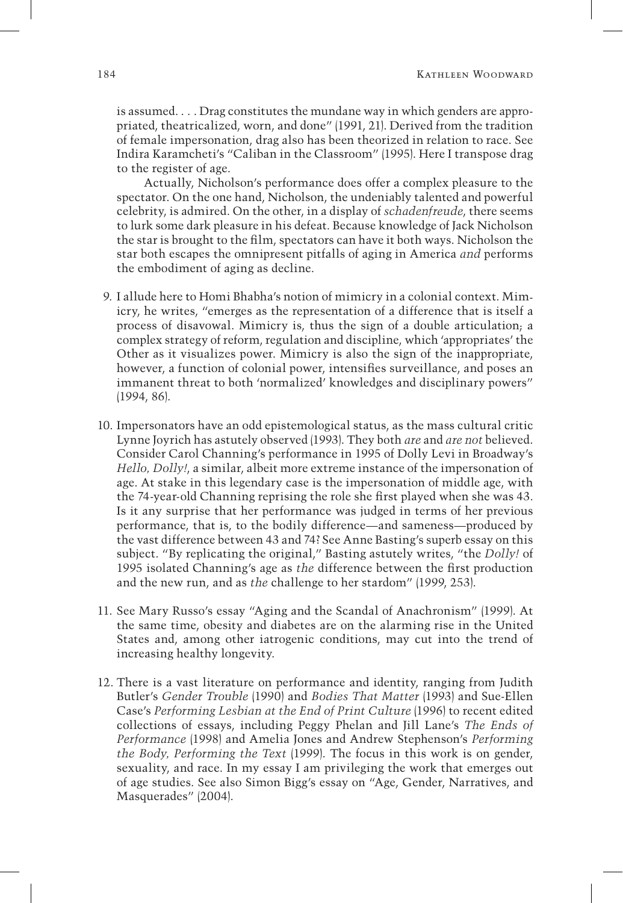is assumed. . . . Drag constitutes the mundane way in which genders are appropriated, theatricalized, worn, and done" (1991, 21). Derived from the tradition of female impersonation, drag also has been theorized in relation to race. See Indira Karamcheti's "Caliban in the Classroom" (1995). Here I transpose drag to the register of age.

 Actually, Nicholson's performance does offer a complex pleasure to the spectator. On the one hand, Nicholson, the undeniably talented and powerful celebrity, is admired. On the other, in a display of *schadenfreude*, there seems to lurk some dark pleasure in his defeat. Because knowledge of Jack Nicholson the star is brought to the film, spectators can have it both ways. Nicholson the star both escapes the omnipresent pitfalls of aging in America *and* performs the embodiment of aging as decline.

- 9. I allude here to Homi Bhabha's notion of mimicry in a colonial context. Mimicry, he writes, "emerges as the representation of a difference that is itself a process of disavowal. Mimicry is, thus the sign of a double articulation; a complex strategy of reform, regulation and discipline, which 'appropriates' the Other as it visualizes power. Mimicry is also the sign of the inappropriate, however, a function of colonial power, intensifies surveillance, and poses an immanent threat to both 'normalized' knowledges and disciplinary powers" (1994, 86).
- 10. Impersonators have an odd epistemological status, as the mass cultural critic Lynne Joyrich has astutely observed (1993). They both *are* and *are not* believed. Consider Carol Channing's performance in 1995 of Dolly Levi in Broadway's *Hello, Dolly!*, a similar, albeit more extreme instance of the impersonation of age. At stake in this legendary case is the impersonation of middle age, with the 74-year-old Channing reprising the role she first played when she was 43. Is it any surprise that her performance was judged in terms of her previous performance, that is, to the bodily difference—and sameness—produced by the vast difference between 43 and 74?See Anne Basting's superb essay on this subject. "By replicating the original," Basting astutely writes, "the *Dolly!* of 1995 isolated Channing's age as *the* difference between the first production and the new run, and as *the* challenge to her stardom" (1999, 253).
- 11. See Mary Russo's essay "Aging and the Scandal of Anachronism" (1999). At the same time, obesity and diabetes are on the alarming rise in the United States and, among other iatrogenic conditions, may cut into the trend of increasing healthy longevity.
- 12. There is a vast literature on performance and identity, ranging from Judith Butler's *Gender Trouble* (1990) and *Bodies That Matter* (1993) and Sue-Ellen Case's *Performing Lesbian at the End of Print Culture* (1996) to recent edited collections of essays, including Peggy Phelan and Jill Lane's *The Ends of Performance* (1998) and Amelia Jones and Andrew Stephenson's *Performing the Body, Performing the Text* (1999). The focus in this work is on gender, sexuality, and race. In my essay I am privileging the work that emerges out of age studies. See also Simon Bigg's essay on "Age, Gender, Narratives, and Masquerades" (2004).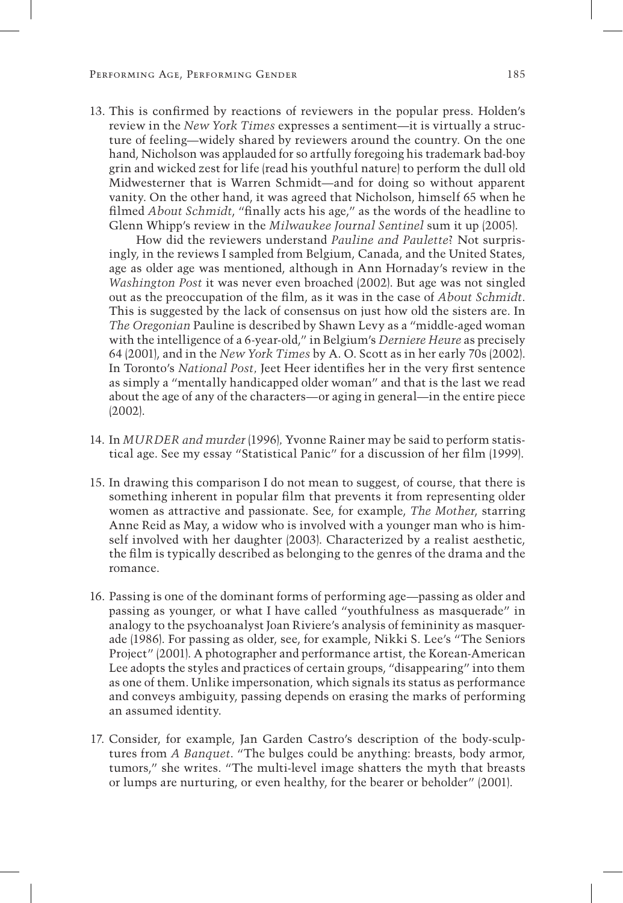13. This is confirmed by reactions of reviewers in the popular press. Holden's review in the *New York Times* expresses a sentiment—it is virtually a structure of feeling—widely shared by reviewers around the country. On the one hand, Nicholson was applauded for so artfully foregoing his trademark bad-boy grin and wicked zest for life (read his youthful nature) to perform the dull old Midwesterner that is Warren Schmidt—and for doing so without apparent vanity. On the other hand, it was agreed that Nicholson, himself 65 when he filmed *About Schmidt*, "finally acts his age," as the words of the headline to Glenn Whipp's review in the *Milwaukee Journal Sentinel* sum it up (2005).

 How did the reviewers understand *Pauline and Paulette*? Not surprisingly, in the reviews I sampled from Belgium, Canada, and the United States, age as older age was mentioned, although in Ann Hornaday's review in the *Washington Post* it was never even broached (2002). But age was not singled out as the preoccupation of the film, as it was in the case of *About Schmidt*. This is suggested by the lack of consensus on just how old the sisters are. In *The Oregonian* Pauline is described by Shawn Levy as a "middle-aged woman with the intelligence of a 6-year-old," in Belgium's *Derniere Heure* as precisely 64 (2001), and in the *New York Times* by A. O. Scott as in her early 70s (2002). In Toronto's *National Post,* Jeet Heer identifies her in the very first sentence as simply a "mentally handicapped older woman" and that is the last we read about the age of any of the characters—or aging in general—in the entire piece (2002).

- 14. In *MURDER and murder* (1996)*,* Yvonne Rainer may be said to perform statistical age. See my essay "Statistical Panic" for a discussion of her film (1999).
- 15. In drawing this comparison I do not mean to suggest, of course, that there is something inherent in popular film that prevents it from representing older women as attractive and passionate. See, for example, *The Mother*, starring Anne Reid as May, a widow who is involved with a younger man who is himself involved with her daughter (2003). Characterized by a realist aesthetic, the film is typically described as belonging to the genres of the drama and the romance.
- 16. Passing is one of the dominant forms of performing age—passing as older and passing as younger, or what I have called "youthfulness as masquerade" in analogy to the psychoanalyst Joan Riviere's analysis of femininity as masquerade (1986). For passing as older, see, for example, Nikki S. Lee's "The Seniors Project" (2001). A photographer and performance artist, the Korean-American Lee adopts the styles and practices of certain groups, "disappearing" into them as one of them. Unlike impersonation, which signals its status as performance and conveys ambiguity, passing depends on erasing the marks of performing an assumed identity.
- 17. Consider, for example, Jan Garden Castro's description of the body-sculptures from *A Banquet*. "The bulges could be anything: breasts, body armor, tumors," she writes. "The multi-level image shatters the myth that breasts or lumps are nurturing, or even healthy, for the bearer or beholder" (2001).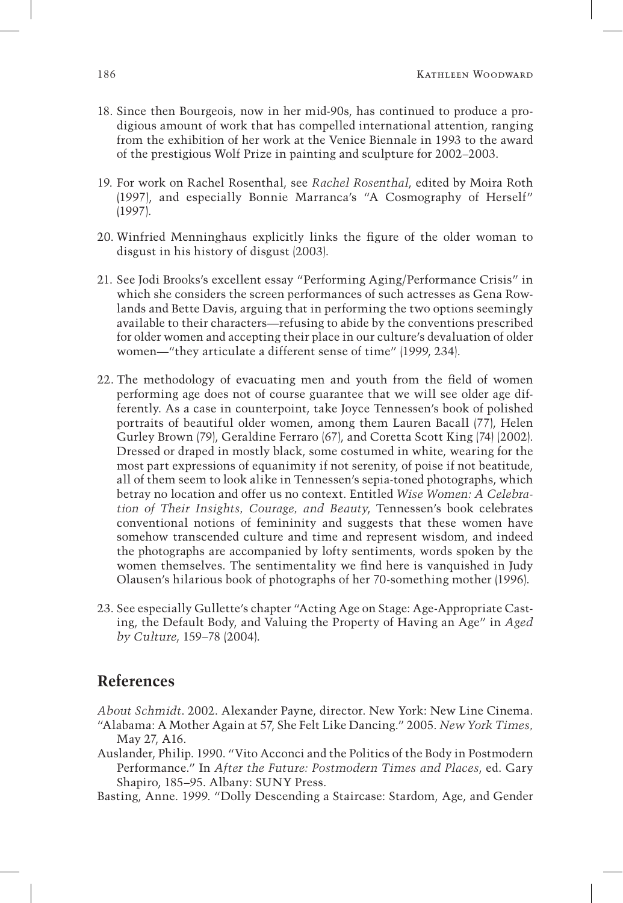- 18. Since then Bourgeois, now in her mid-90s, has continued to produce a prodigious amount of work that has compelled international attention, ranging from the exhibition of her work at the Venice Biennale in 1993 to the award of the prestigious Wolf Prize in painting and sculpture for 2002–2003.
- 19. For work on Rachel Rosenthal, see *Rachel Rosenthal*, edited by Moira Roth (1997), and especially Bonnie Marranca's "A Cosmography of Herself" (1997).
- 20. Winfried Menninghaus explicitly links the figure of the older woman to disgust in his history of disgust (2003).
- 21. See Jodi Brooks's excellent essay "Performing Aging/Performance Crisis" in which she considers the screen performances of such actresses as Gena Rowlands and Bette Davis, arguing that in performing the two options seemingly available to their characters—refusing to abide by the conventions prescribed for older women and accepting their place in our culture's devaluation of older women—"they articulate a different sense of time" (1999, 234).
- 22. The methodology of evacuating men and youth from the field of women performing age does not of course guarantee that we will see older age differently. As a case in counterpoint, take Joyce Tennessen's book of polished portraits of beautiful older women, among them Lauren Bacall (77), Helen Gurley Brown (79), Geraldine Ferraro (67), and Coretta Scott King (74) (2002). Dressed or draped in mostly black, some costumed in white, wearing for the most part expressions of equanimity if not serenity, of poise if not beatitude, all of them seem to look alike in Tennessen's sepia-toned photographs, which betray no location and offer us no context. Entitled *Wise Women: A Celebration of Their Insights, Courage, and Beauty*, Tennessen's book celebrates conventional notions of femininity and suggests that these women have somehow transcended culture and time and represent wisdom, and indeed the photographs are accompanied by lofty sentiments, words spoken by the women themselves. The sentimentality we find here is vanquished in Judy Olausen's hilarious book of photographs of her 70-something mother (1996).
- 23. See especially Gullette's chapter "Acting Age on Stage: Age-Appropriate Casting, the Default Body, and Valuing the Property of Having an Age" in *Aged by Culture*, 159–78 (2004).

# **References**

*About Schmidt*. 2002. Alexander Payne, director. New York: New Line Cinema.

- "Alabama: A Mother Again at 57, She Felt Like Dancing." 2005. *New York Times,* May 27, A16.
- Auslander, Philip. 1990. "Vito Acconci and the Politics of the Body in Postmodern Performance." In *After the Future: Postmodern Times and Places*, ed. Gary Shapiro, 185–95. Albany: SUNY Press.

Basting, Anne. 1999. "Dolly Descending a Staircase: Stardom, Age, and Gender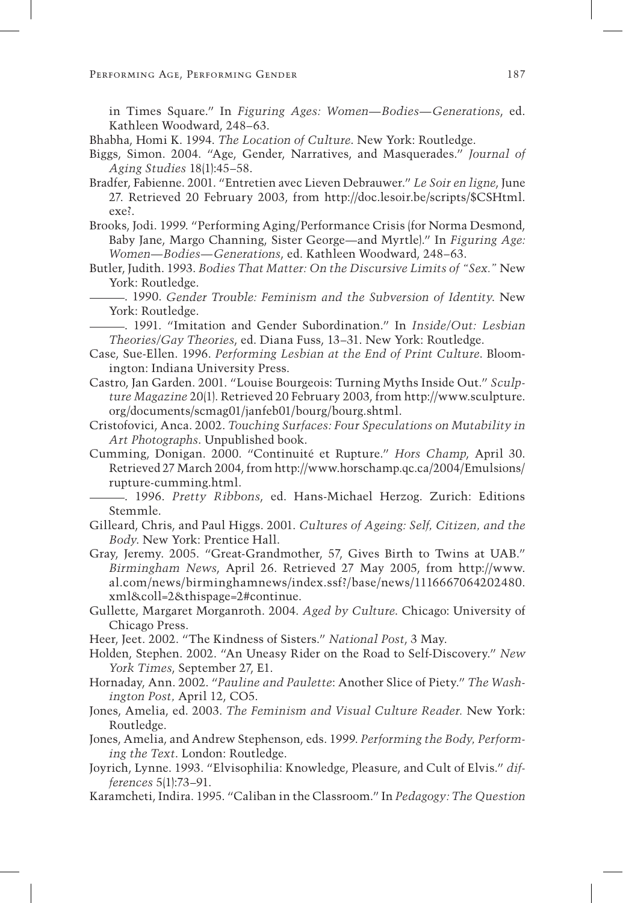in Times Square." In *Figuring Ages: Women—Bodies—Generations*, ed. Kathleen Woodward, 248–63.

- Bhabha, Homi K. 1994. *The Location of Culture*. New York: Routledge.
- Biggs, Simon. 2004. "Age, Gender, Narratives, and Masquerades." *Journal of Aging Studies* 18(1):45–58.
- Bradfer, Fabienne. 2001. "Entretien avec Lieven Debrauwer." *Le Soir en ligne*, June 27. Retrieved 20 February 2003, from http://doc.lesoir.be/scripts/\$CSHtml. exe?.
- Brooks, Jodi. 1999. "Performing Aging/Performance Crisis (for Norma Desmond, Baby Jane, Margo Channing, Sister George—and Myrtle)." In *Figuring Age: Women—Bodies—Generations*, ed. Kathleen Woodward, 248–63.
- Butler, Judith. 1993. *Bodies That Matter: On the Discursive Limits of "Sex."* New York: Routledge.
	- . 1990. *Gender Trouble: Feminism and the Subversion of Identity*. New York: Routledge.

 . 1991. "Imitation and Gender Subordination." In *Inside/Out: Lesbian Theories/Gay Theories*, ed. Diana Fuss, 13–31. New York: Routledge.

- Case, Sue-Ellen. 1996. *Performing Lesbian at the End of Print Culture*. Bloomington: Indiana University Press.
- Castro, Jan Garden. 2001. "Louise Bourgeois: Turning Myths Inside Out." *Sculpture Magazine* 20(1). Retrieved 20 February 2003, from http://www.sculpture. org/documents/scmag01/janfeb01/bourg/bourg.shtml.
- Cristofovici, Anca. 2002. *Touching Surfaces: Four Speculations on Mutability in Art Photographs*. Unpublished book.
- Cumming, Donigan. 2000. "Continuité et Rupture." *Hors Champ*, April 30. Retrieved 27 March 2004, from http://www.horschamp.qc.ca/2004/Emulsions/ rupture-cumming.html.

 . 1996. *Pretty Ribbons*, ed. Hans-Michael Herzog. Zurich: Editions Stemmle.

Gilleard, Chris, and Paul Higgs. 2001. *Cultures of Ageing: Self, Citizen, and the Body*. New York: Prentice Hall.

- Gray, Jeremy. 2005. "Great-Grandmother, 57, Gives Birth to Twins at UAB." *Birmingham News*, April 26. Retrieved 27 May 2005, from http://www. al.com/news/birminghamnews/index.ssf?/base/news/1116667064202480. xml&coll=2&thispage=2#continue.
- Gullette, Margaret Morganroth. 2004. *Aged by Culture*. Chicago: University of Chicago Press.
- Heer, Jeet. 2002. "The Kindness of Sisters." *National Post*, 3 May.
- Holden, Stephen. 2002. "An Uneasy Rider on the Road to Self-Discovery." *New York Times*, September 27, E1.
- Hornaday, Ann. 2002. "*Pauline and Paulette*: Another Slice of Piety." *The Washington Post,* April 12, CO5.
- Jones, Amelia, ed. 2003. *The Feminism and Visual Culture Reader.* New York: Routledge.
- Jones, Amelia, and Andrew Stephenson, eds. 1999. *Performing the Body, Performing the Text*. London: Routledge.
- Joyrich, Lynne. 1993. "Elvisophilia: Knowledge, Pleasure, and Cult of Elvis." *differences* 5(1):73–91.
- Karamcheti, Indira. 1995. "Caliban in the Classroom." In *Pedagogy: The Question*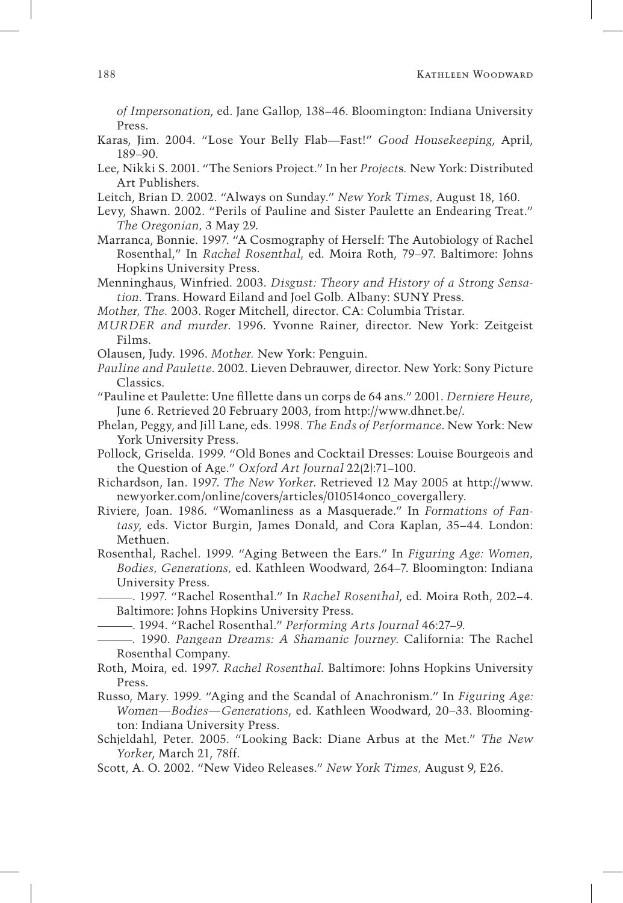*of Impersonation*, ed. Jane Gallop, 138–46. Bloomington: Indiana University Press.

- Karas, Jim. 2004. "Lose Your Belly Flab—Fast!" *Good Housekeeping*, April, 189–90.
- Lee, Nikki S. 2001. "The Seniors Project." In her *Project*s*.* New York: Distributed Art Publishers.
- Leitch, Brian D. 2002. "Always on Sunday." *New York Times,* August 18, 160.
- Levy, Shawn. 2002. "Perils of Pauline and Sister Paulette an Endearing Treat." *The Oregonian,* 3 May 29.
- Marranca, Bonnie. 1997. "A Cosmography of Herself: The Autobiology of Rachel Rosenthal," In *Rachel Rosenthal*, ed. Moira Roth, 79–97. Baltimore: Johns Hopkins University Press.
- Menninghaus, Winfried. 2003. *Disgust: Theory and History of a Strong Sensation*. Trans. Howard Eiland and Joel Golb. Albany: SUNY Press.
- *Mother, The.* 2003. Roger Mitchell, director. CA: Columbia Tristar.
- *MURDER and murder*. 1996. Yvonne Rainer, director. New York: Zeitgeist Films.
- Olausen, Judy. 1996. *Mother.* New York: Penguin.
- *Pauline and Paulette*. 2002. Lieven Debrauwer, director. New York: Sony Picture Classics.
- "Pauline et Paulette: Une fillette dans un corps de 64 ans." 2001. *Derniere Heure*, June 6. Retrieved 20 February 2003, from http://www.dhnet.be/.
- Phelan, Peggy, and Jill Lane, eds. 1998*. The Ends of Performance*. New York: New York University Press.
- Pollock, Griselda. 1999. "Old Bones and Cocktail Dresses: Louise Bourgeois and the Question of Age." *Oxford Art Journal* 22(2):71–100.
- Richardson, Ian. 1997. *The New Yorker*. Retrieved 12 May 2005 at http://www. newyorker.com/online/covers/articles/010514onco\_covergallery.
- Riviere, Joan. 1986. "Womanliness as a Masquerade." In *Formations of Fantasy*, eds. Victor Burgin, James Donald, and Cora Kaplan, 35–44. London: Methuen.
- Rosenthal, Rachel. 1999. "Aging Between the Ears." In *Figuring Age: Women, Bodies, Generations,* ed. Kathleen Woodward, 264–7. Bloomington: Indiana University Press.
	- . 1997. "Rachel Rosenthal." In *Rachel Rosenthal*, ed. Moira Roth, 202–4. Baltimore: Johns Hopkins University Press.
	- . 1994. "Rachel Rosenthal." *Performing Arts Journal* 46:27–9.
- *.* 1990. *Pangean Dreams: A Shamanic Journey*. California: The Rachel Rosenthal Company.
- Roth, Moira, ed. 1997. *Rachel Rosenthal*. Baltimore: Johns Hopkins University Press.
- Russo, Mary. 1999. "Aging and the Scandal of Anachronism." In *Figuring Age: Women—Bodies—Generations*, ed. Kathleen Woodward, 20–33. Bloomington: Indiana University Press.
- Schjeldahl, Peter. 2005. "Looking Back: Diane Arbus at the Met." *The New Yorker*, March 21, 78ff.
- Scott, A. O. 2002. "New Video Releases." *New York Times,* August 9, E26.